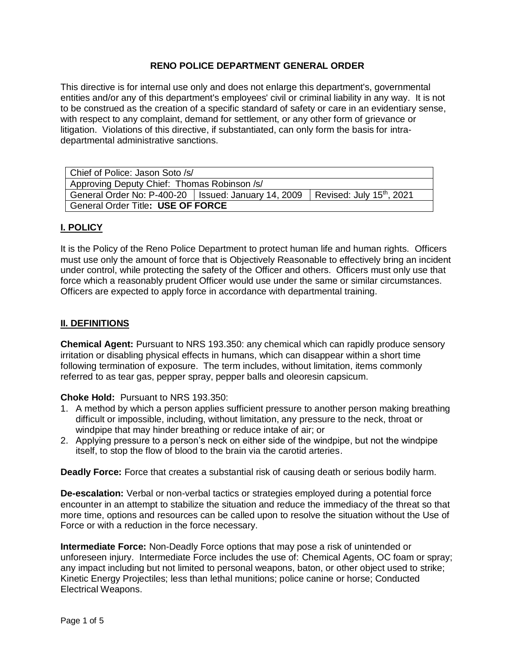## **RENO POLICE DEPARTMENT GENERAL ORDER**

This directive is for internal use only and does not enlarge this department's, governmental entities and/or any of this department's employees' civil or criminal liability in any way. It is not to be construed as the creation of a specific standard of safety or care in an evidentiary sense, with respect to any complaint, demand for settlement, or any other form of grievance or litigation. Violations of this directive, if substantiated, can only form the basis for intradepartmental administrative sanctions.

| Chief of Police: Jason Soto /s/                                                               |  |  |
|-----------------------------------------------------------------------------------------------|--|--|
| Approving Deputy Chief: Thomas Robinson /s/                                                   |  |  |
| General Order No: P-400-20   Issued: January 14, 2009   Revised: July 15 <sup>th</sup> , 2021 |  |  |
| General Order Title: USE OF FORCE                                                             |  |  |

#### **I. POLICY**

It is the Policy of the Reno Police Department to protect human life and human rights. Officers must use only the amount of force that is Objectively Reasonable to effectively bring an incident under control, while protecting the safety of the Officer and others. Officers must only use that force which a reasonably prudent Officer would use under the same or similar circumstances. Officers are expected to apply force in accordance with departmental training.

#### **II. DEFINITIONS**

**Chemical Agent:** Pursuant to NRS 193.350: any chemical which can rapidly produce sensory irritation or disabling physical effects in humans, which can disappear within a short time following termination of exposure. The term includes, without limitation, items commonly referred to as tear gas, pepper spray, pepper balls and oleoresin capsicum.

**Choke Hold:** Pursuant to NRS 193.350:

- 1. A method by which a person applies sufficient pressure to another person making breathing difficult or impossible, including, without limitation, any pressure to the neck, throat or windpipe that may hinder breathing or reduce intake of air; or
- 2. Applying pressure to a person's neck on either side of the windpipe, but not the windpipe itself, to stop the flow of blood to the brain via the carotid arteries.

**Deadly Force:** Force that creates a substantial risk of causing death or serious bodily harm.

**De-escalation:** Verbal or non-verbal tactics or strategies employed during a potential force encounter in an attempt to stabilize the situation and reduce the immediacy of the threat so that more time, options and resources can be called upon to resolve the situation without the Use of Force or with a reduction in the force necessary.

**Intermediate Force:** Non-Deadly Force options that may pose a risk of unintended or unforeseen injury. Intermediate Force includes the use of: Chemical Agents, OC foam or spray; any impact including but not limited to personal weapons, baton, or other object used to strike; Kinetic Energy Projectiles; less than lethal munitions; police canine or horse; Conducted Electrical Weapons.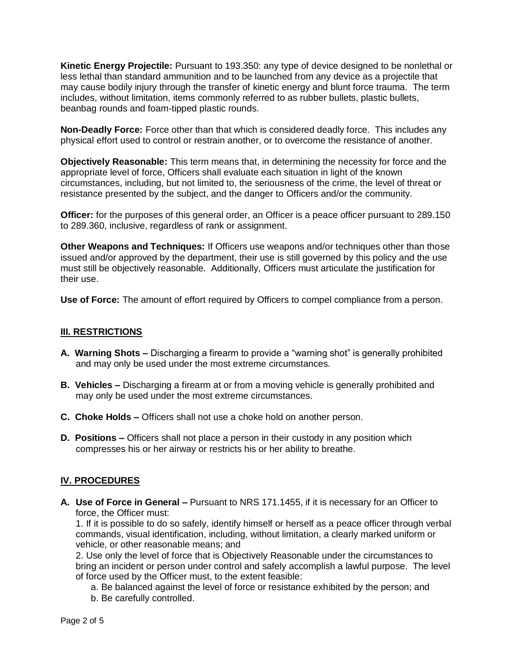**Kinetic Energy Projectile:** Pursuant to 193.350: any type of device designed to be nonlethal or less lethal than standard ammunition and to be launched from any device as a projectile that may cause bodily injury through the transfer of kinetic energy and blunt force trauma. The term includes, without limitation, items commonly referred to as rubber bullets, plastic bullets, beanbag rounds and foam-tipped plastic rounds.

**Non-Deadly Force:** Force other than that which is considered deadly force. This includes any physical effort used to control or restrain another, or to overcome the resistance of another.

**Objectively Reasonable:** This term means that, in determining the necessity for force and the appropriate level of force, Officers shall evaluate each situation in light of the known circumstances, including, but not limited to, the seriousness of the crime, the level of threat or resistance presented by the subject, and the danger to Officers and/or the community.

**Officer:** for the purposes of this general order, an Officer is a peace officer pursuant to 289.150 to 289.360, inclusive, regardless of rank or assignment.

**Other Weapons and Techniques:** If Officers use weapons and/or techniques other than those issued and/or approved by the department, their use is still governed by this policy and the use must still be objectively reasonable. Additionally, Officers must articulate the justification for their use.

**Use of Force:** The amount of effort required by Officers to compel compliance from a person.

#### **III. RESTRICTIONS**

- **A. Warning Shots –** Discharging a firearm to provide a "warning shot" is generally prohibited and may only be used under the most extreme circumstances.
- **B. Vehicles –** Discharging a firearm at or from a moving vehicle is generally prohibited and may only be used under the most extreme circumstances.
- **C. Choke Holds –** Officers shall not use a choke hold on another person.
- **D. Positions –** Officers shall not place a person in their custody in any position which compresses his or her airway or restricts his or her ability to breathe.

## **IV. PROCEDURES**

**A. Use of Force in General –** Pursuant to NRS 171.1455, if it is necessary for an Officer to force, the Officer must:

1. If it is possible to do so safely, identify himself or herself as a peace officer through verbal commands, visual identification, including, without limitation, a clearly marked uniform or vehicle, or other reasonable means; and

2. Use only the level of force that is Objectively Reasonable under the circumstances to bring an incident or person under control and safely accomplish a lawful purpose. The level of force used by the Officer must, to the extent feasible:

- a. Be balanced against the level of force or resistance exhibited by the person; and
- b. Be carefully controlled.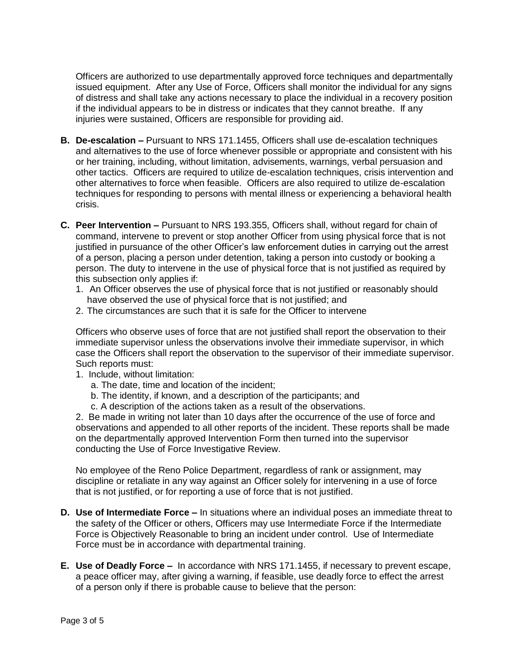Officers are authorized to use departmentally approved force techniques and departmentally issued equipment. After any Use of Force, Officers shall monitor the individual for any signs of distress and shall take any actions necessary to place the individual in a recovery position if the individual appears to be in distress or indicates that they cannot breathe. If any injuries were sustained, Officers are responsible for providing aid.

- **B. De-escalation –** Pursuant to NRS 171.1455, Officers shall use de-escalation techniques and alternatives to the use of force whenever possible or appropriate and consistent with his or her training, including, without limitation, advisements, warnings, verbal persuasion and other tactics. Officers are required to utilize de-escalation techniques, crisis intervention and other alternatives to force when feasible. Officers are also required to utilize de-escalation techniques for responding to persons with mental illness or experiencing a behavioral health crisis.
- **C. Peer Intervention –** Pursuant to NRS 193.355, Officers shall, without regard for chain of command, intervene to prevent or stop another Officer from using physical force that is not justified in pursuance of the other Officer's law enforcement duties in carrying out the arrest of a person, placing a person under detention, taking a person into custody or booking a person. The duty to intervene in the use of physical force that is not justified as required by this subsection only applies if:
	- 1. An Officer observes the use of physical force that is not justified or reasonably should have observed the use of physical force that is not justified; and
	- 2. The circumstances are such that it is safe for the Officer to intervene

Officers who observe uses of force that are not justified shall report the observation to their immediate supervisor unless the observations involve their immediate supervisor, in which case the Officers shall report the observation to the supervisor of their immediate supervisor. Such reports must:

- 1. Include, without limitation:
	- a. The date, time and location of the incident;
	- b. The identity, if known, and a description of the participants; and
	- c. A description of the actions taken as a result of the observations.

2. Be made in writing not later than 10 days after the occurrence of the use of force and observations and appended to all other reports of the incident. These reports shall be made on the departmentally approved Intervention Form then turned into the supervisor conducting the Use of Force Investigative Review.

No employee of the Reno Police Department, regardless of rank or assignment, may discipline or retaliate in any way against an Officer solely for intervening in a use of force that is not justified, or for reporting a use of force that is not justified.

- **D. Use of Intermediate Force –** In situations where an individual poses an immediate threat to the safety of the Officer or others, Officers may use Intermediate Force if the Intermediate Force is Objectively Reasonable to bring an incident under control. Use of Intermediate Force must be in accordance with departmental training.
- **E. Use of Deadly Force –** In accordance with NRS 171.1455, if necessary to prevent escape, a peace officer may, after giving a warning, if feasible, use deadly force to effect the arrest of a person only if there is probable cause to believe that the person: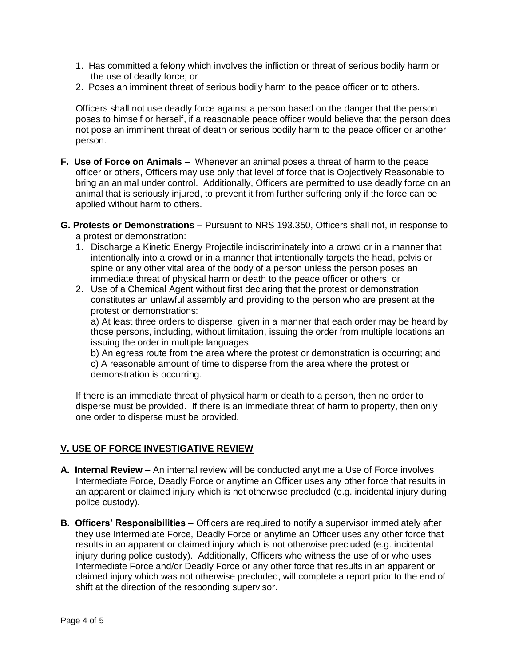- 1. Has committed a felony which involves the infliction or threat of serious bodily harm or the use of deadly force; or
- 2. Poses an imminent threat of serious bodily harm to the peace officer or to others.

Officers shall not use deadly force against a person based on the danger that the person poses to himself or herself, if a reasonable peace officer would believe that the person does not pose an imminent threat of death or serious bodily harm to the peace officer or another person.

- **F. Use of Force on Animals** Whenever an animal poses a threat of harm to the peace officer or others, Officers may use only that level of force that is Objectively Reasonable to bring an animal under control. Additionally, Officers are permitted to use deadly force on an animal that is seriously injured, to prevent it from further suffering only if the force can be applied without harm to others.
- **G. Protests or Demonstrations –** Pursuant to NRS 193.350, Officers shall not, in response to a protest or demonstration:
	- 1. Discharge a Kinetic Energy Projectile indiscriminately into a crowd or in a manner that intentionally into a crowd or in a manner that intentionally targets the head, pelvis or spine or any other vital area of the body of a person unless the person poses an immediate threat of physical harm or death to the peace officer or others; or
	- 2. Use of a Chemical Agent without first declaring that the protest or demonstration constitutes an unlawful assembly and providing to the person who are present at the protest or demonstrations:

a) At least three orders to disperse, given in a manner that each order may be heard by those persons, including, without limitation, issuing the order from multiple locations an issuing the order in multiple languages;

b) An egress route from the area where the protest or demonstration is occurring; and c) A reasonable amount of time to disperse from the area where the protest or demonstration is occurring.

If there is an immediate threat of physical harm or death to a person, then no order to disperse must be provided. If there is an immediate threat of harm to property, then only one order to disperse must be provided.

## **V. USE OF FORCE INVESTIGATIVE REVIEW**

- **A. Internal Review –** An internal review will be conducted anytime a Use of Force involves Intermediate Force, Deadly Force or anytime an Officer uses any other force that results in an apparent or claimed injury which is not otherwise precluded (e.g. incidental injury during police custody).
- **B. Officers' Responsibilities –** Officers are required to notify a supervisor immediately after they use Intermediate Force, Deadly Force or anytime an Officer uses any other force that results in an apparent or claimed injury which is not otherwise precluded (e.g. incidental injury during police custody). Additionally, Officers who witness the use of or who uses Intermediate Force and/or Deadly Force or any other force that results in an apparent or claimed injury which was not otherwise precluded, will complete a report prior to the end of shift at the direction of the responding supervisor.